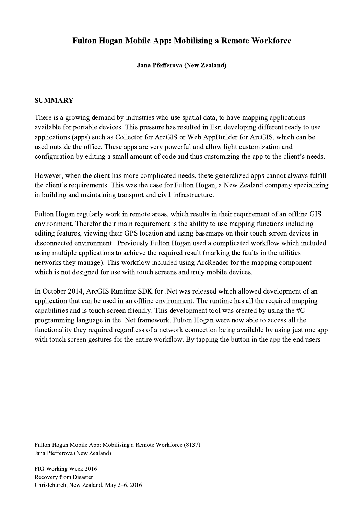## Fulton Hogan Mobile App: Mobilising a Remote Workforce

Jana Pfefferova (New Zealand)

## **SUMMARY**

There is a growing demand by industries who use spatial data, to have mapping applications available for portable devices. This pressure has resulted in Esri developing different ready to use applications (apps) such as Collector for ArcGIS or Web AppBuilder for ArcGIS, which can be used outside the office. These apps are very powerful and allow light customization and configuration by editing a small amount of code and thus customizing the app to the client's needs.

However, when the client has more complicated needs, these generalized apps cannot always fulfill the client's requirements. This was the case for Fulton Hogan, a New Zealand company specializing in building and maintaining transport and civil infrastructure.

Fulton Hogan regularly work in remote areas, which results in their requirement of an offline GIS environment. Therefor their main requirement is the ability to use mapping functions including editing features, viewing their GPS location and using basemaps on their touch screen devices in disconnected environment. Previously Fulton Hogan used a complicated workflow which included using multiple applications to achieve the required result (marking the faults in the utilities networks they manage). This workflow included using ArcReader for the mapping component which is not designed for use with touch screens and truly mobile devices.

In October 2014, ArcGIS Runtime SDK for .Net was released which allowed development of an application that can be used in an offline environment. The runtime has all the required mapping capabilities and is touch screen friendly. This development tool was created by using the #C programming language in the .Net framework. Fulton Hogan were now able to access all the functionality they required regardless of a network connection being available by using just one app with touch screen gestures for the entire workflow. By tapping the button in the app the end users

 $\mathcal{L}_\mathcal{L} = \{ \mathcal{L}_\mathcal{L} = \{ \mathcal{L}_\mathcal{L} = \{ \mathcal{L}_\mathcal{L} = \{ \mathcal{L}_\mathcal{L} = \{ \mathcal{L}_\mathcal{L} = \{ \mathcal{L}_\mathcal{L} = \{ \mathcal{L}_\mathcal{L} = \{ \mathcal{L}_\mathcal{L} = \{ \mathcal{L}_\mathcal{L} = \{ \mathcal{L}_\mathcal{L} = \{ \mathcal{L}_\mathcal{L} = \{ \mathcal{L}_\mathcal{L} = \{ \mathcal{L}_\mathcal{L} = \{ \mathcal{L}_\mathcal{$ 

Fulton Hogan Mobile App: Mobilising a Remote Workforce (8137) Jana Pfefferova (New Zealand)

FIG Working Week 2016 Recovery from Disaster Christchurch, New Zealand, May 2–6, 2016